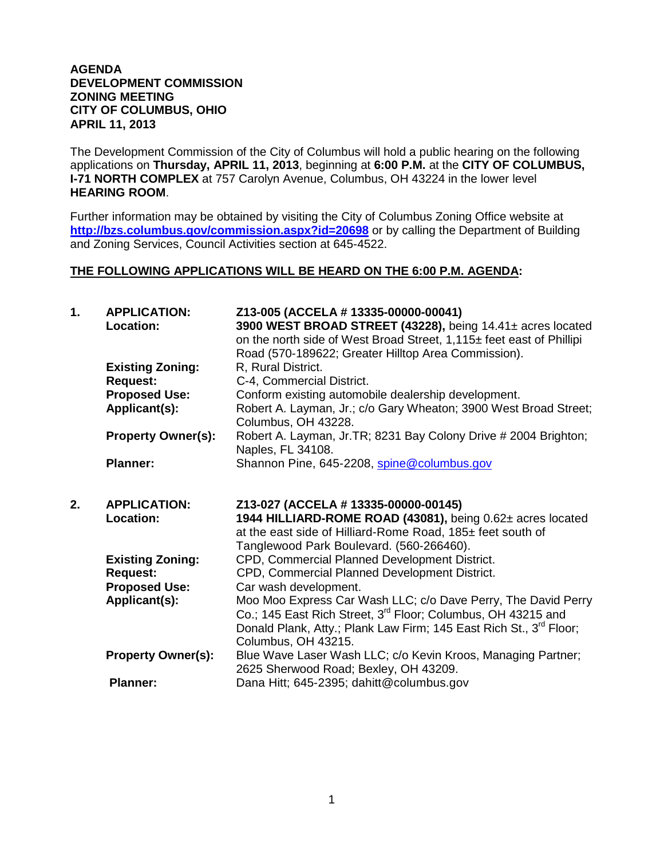#### **AGENDA DEVELOPMENT COMMISSION ZONING MEETING CITY OF COLUMBUS, OHIO APRIL 11, 2013**

The Development Commission of the City of Columbus will hold a public hearing on the following applications on **Thursday, APRIL 11, 2013**, beginning at **6:00 P.M.** at the **CITY OF COLUMBUS, I-71 NORTH COMPLEX** at 757 Carolyn Avenue, Columbus, OH 43224 in the lower level **HEARING ROOM**.

Further information may be obtained by visiting the City of Columbus Zoning Office website at **http://bzs.columbus.gov/commission.aspx?id=20698** or by calling the Department of Building and Zoning Services, Council Activities section at 645-4522.

#### **THE FOLLOWING APPLICATIONS WILL BE HEARD ON THE 6:00 P.M. AGENDA:**

| $\mathbf{1}$ . | <b>APPLICATION:</b><br>Location:           | Z13-005 (ACCELA # 13335-00000-00041)<br>3900 WEST BROAD STREET (43228), being 14.41± acres located<br>on the north side of West Broad Street, 1,115± feet east of Phillipi<br>Road (570-189622; Greater Hilltop Area Commission).                    |
|----------------|--------------------------------------------|------------------------------------------------------------------------------------------------------------------------------------------------------------------------------------------------------------------------------------------------------|
|                | <b>Existing Zoning:</b><br><b>Request:</b> | R, Rural District.<br>C-4, Commercial District.                                                                                                                                                                                                      |
|                | <b>Proposed Use:</b>                       | Conform existing automobile dealership development.                                                                                                                                                                                                  |
|                | Applicant(s):                              | Robert A. Layman, Jr.; c/o Gary Wheaton; 3900 West Broad Street;<br>Columbus, OH 43228.                                                                                                                                                              |
|                | <b>Property Owner(s):</b>                  | Robert A. Layman, Jr. TR; 8231 Bay Colony Drive # 2004 Brighton;<br>Naples, FL 34108.                                                                                                                                                                |
|                | <b>Planner:</b>                            | Shannon Pine, 645-2208, spine@columbus.gov                                                                                                                                                                                                           |
|                |                                            |                                                                                                                                                                                                                                                      |
| 2.             | <b>APPLICATION:</b><br>Location:           | Z13-027 (ACCELA # 13335-00000-00145)<br>1944 HILLIARD-ROME ROAD (43081), being 0.62± acres located<br>at the east side of Hilliard-Rome Road, 185± feet south of                                                                                     |
|                | <b>Existing Zoning:</b>                    | Tanglewood Park Boulevard. (560-266460).<br>CPD, Commercial Planned Development District.                                                                                                                                                            |
|                | <b>Request:</b>                            | CPD, Commercial Planned Development District.                                                                                                                                                                                                        |
|                | <b>Proposed Use:</b><br>Applicant(s):      | Car wash development.<br>Moo Moo Express Car Wash LLC; c/o Dave Perry, The David Perry<br>Co.; 145 East Rich Street, 3 <sup>rd</sup> Floor; Columbus, OH 43215 and<br>Donald Plank, Atty.; Plank Law Firm; 145 East Rich St., 3 <sup>rd</sup> Floor; |
|                | <b>Property Owner(s):</b>                  | Columbus, OH 43215.<br>Blue Wave Laser Wash LLC; c/o Kevin Kroos, Managing Partner;<br>2625 Sherwood Road; Bexley, OH 43209.                                                                                                                         |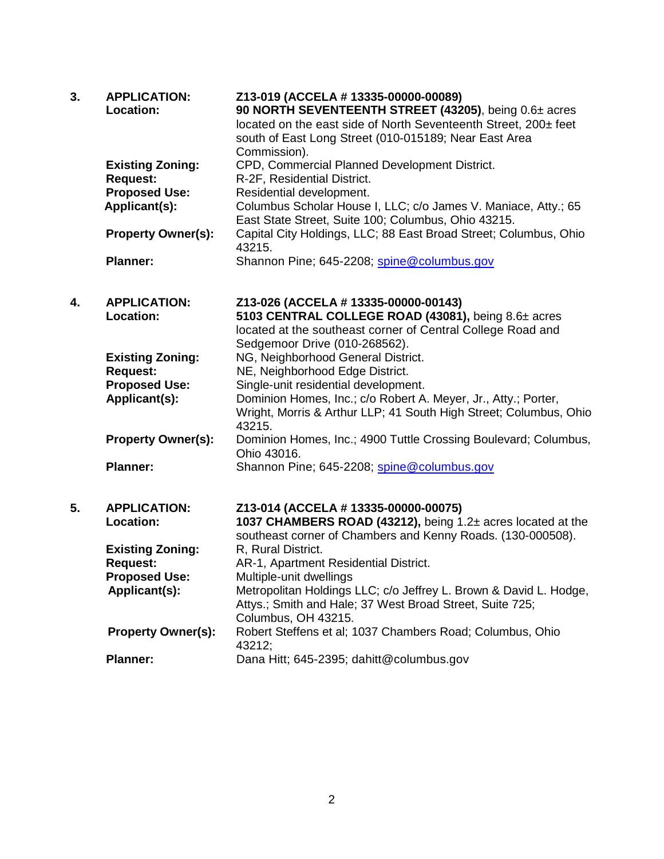| 3. | <b>APPLICATION:</b><br><b>Location:</b>    | Z13-019 (ACCELA # 13335-00000-00089)<br>90 NORTH SEVENTEENTH STREET (43205), being 0.6± acres<br>located on the east side of North Seventeenth Street, 200± feet<br>south of East Long Street (010-015189; Near East Area<br>Commission). |
|----|--------------------------------------------|-------------------------------------------------------------------------------------------------------------------------------------------------------------------------------------------------------------------------------------------|
|    | <b>Existing Zoning:</b><br><b>Request:</b> | CPD, Commercial Planned Development District.<br>R-2F, Residential District.                                                                                                                                                              |
|    | <b>Proposed Use:</b>                       | Residential development.                                                                                                                                                                                                                  |
|    | Applicant(s):                              | Columbus Scholar House I, LLC; c/o James V. Maniace, Atty.; 65<br>East State Street, Suite 100; Columbus, Ohio 43215.                                                                                                                     |
|    | <b>Property Owner(s):</b>                  | Capital City Holdings, LLC; 88 East Broad Street; Columbus, Ohio<br>43215.                                                                                                                                                                |
|    | <b>Planner:</b>                            | Shannon Pine; 645-2208; spine@columbus.gov                                                                                                                                                                                                |
|    |                                            |                                                                                                                                                                                                                                           |
| 4. | <b>APPLICATION:</b><br>Location:           | Z13-026 (ACCELA # 13335-00000-00143)<br>5103 CENTRAL COLLEGE ROAD (43081), being 8.6± acres<br>located at the southeast corner of Central College Road and<br>Sedgemoor Drive (010-268562).                                               |
|    | <b>Existing Zoning:</b>                    | NG, Neighborhood General District.                                                                                                                                                                                                        |
|    | <b>Request:</b>                            | NE, Neighborhood Edge District.                                                                                                                                                                                                           |
|    | <b>Proposed Use:</b><br>Applicant(s):      | Single-unit residential development.<br>Dominion Homes, Inc.; c/o Robert A. Meyer, Jr., Atty.; Porter,<br>Wright, Morris & Arthur LLP; 41 South High Street; Columbus, Ohio<br>43215.                                                     |
|    | <b>Property Owner(s):</b>                  | Dominion Homes, Inc.; 4900 Tuttle Crossing Boulevard; Columbus,<br>Ohio 43016.                                                                                                                                                            |
|    | <b>Planner:</b>                            | Shannon Pine; 645-2208; spine@columbus.gov                                                                                                                                                                                                |
| 5. | <b>APPLICATION:</b>                        |                                                                                                                                                                                                                                           |
|    | Location:                                  | Z13-014 (ACCELA # 13335-00000-00075)<br>1037 CHAMBERS ROAD (43212), being 1.2± acres located at the<br>southeast corner of Chambers and Kenny Roads. (130-000508).                                                                        |
|    | <b>Existing Zoning:</b>                    | R, Rural District.                                                                                                                                                                                                                        |
|    | <b>Request:</b>                            | AR-1, Apartment Residential District.                                                                                                                                                                                                     |
|    | <b>Proposed Use:</b>                       | Multiple-unit dwellings                                                                                                                                                                                                                   |
|    | Applicant(s):                              | Metropolitan Holdings LLC; c/o Jeffrey L. Brown & David L. Hodge,<br>Attys.; Smith and Hale; 37 West Broad Street, Suite 725;<br>Columbus, OH 43215.                                                                                      |
|    | <b>Property Owner(s):</b>                  | Robert Steffens et al; 1037 Chambers Road; Columbus, Ohio<br>43212;                                                                                                                                                                       |
|    | <b>Planner:</b>                            | Dana Hitt; 645-2395; dahitt@columbus.gov                                                                                                                                                                                                  |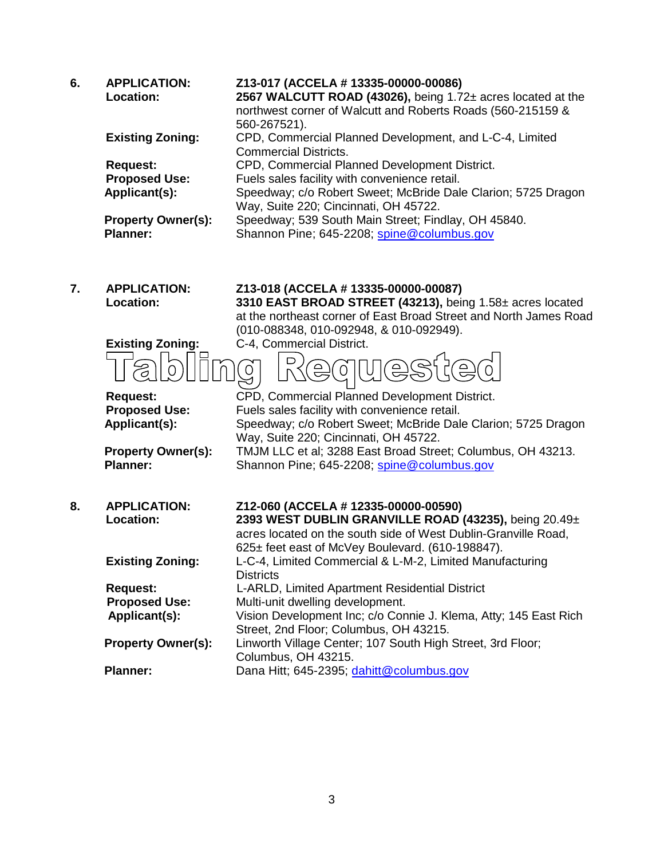| 6. | <b>APPLICATION:</b><br><b>Location:</b><br><b>Existing Zoning:</b><br><b>Request:</b><br><b>Proposed Use:</b><br>Applicant(s):<br><b>Property Owner(s):</b><br><b>Planner:</b> | Z13-017 (ACCELA # 13335-00000-00086)<br>2567 WALCUTT ROAD (43026), being 1.72± acres located at the<br>northwest corner of Walcutt and Roberts Roads (560-215159 &<br>560-267521).<br>CPD, Commercial Planned Development, and L-C-4, Limited<br><b>Commercial Districts.</b><br>CPD, Commercial Planned Development District.<br>Fuels sales facility with convenience retail.<br>Speedway; c/o Robert Sweet; McBride Dale Clarion; 5725 Dragon<br>Way, Suite 220; Cincinnati, OH 45722.<br>Speedway; 539 South Main Street; Findlay, OH 45840.<br>Shannon Pine; 645-2208; spine@columbus.gov |
|----|--------------------------------------------------------------------------------------------------------------------------------------------------------------------------------|------------------------------------------------------------------------------------------------------------------------------------------------------------------------------------------------------------------------------------------------------------------------------------------------------------------------------------------------------------------------------------------------------------------------------------------------------------------------------------------------------------------------------------------------------------------------------------------------|
|    |                                                                                                                                                                                |                                                                                                                                                                                                                                                                                                                                                                                                                                                                                                                                                                                                |
| 7. | <b>APPLICATION:</b><br><b>Location:</b>                                                                                                                                        | Z13-018 (ACCELA # 13335-00000-00087)<br>3310 EAST BROAD STREET (43213), being 1.58± acres located                                                                                                                                                                                                                                                                                                                                                                                                                                                                                              |
|    |                                                                                                                                                                                | at the northeast corner of East Broad Street and North James Road                                                                                                                                                                                                                                                                                                                                                                                                                                                                                                                              |
|    |                                                                                                                                                                                | (010-088348, 010-092948, & 010-092949).                                                                                                                                                                                                                                                                                                                                                                                                                                                                                                                                                        |
|    | <b>Existing Zoning:</b>                                                                                                                                                        | C-4, Commercial District.                                                                                                                                                                                                                                                                                                                                                                                                                                                                                                                                                                      |
|    |                                                                                                                                                                                | ⊃                                                                                                                                                                                                                                                                                                                                                                                                                                                                                                                                                                                              |
|    | <b>Request:</b>                                                                                                                                                                | CPD, Commercial Planned Development District.                                                                                                                                                                                                                                                                                                                                                                                                                                                                                                                                                  |
|    | <b>Proposed Use:</b>                                                                                                                                                           | Fuels sales facility with convenience retail.                                                                                                                                                                                                                                                                                                                                                                                                                                                                                                                                                  |
|    | Applicant(s):                                                                                                                                                                  | Speedway; c/o Robert Sweet; McBride Dale Clarion; 5725 Dragon                                                                                                                                                                                                                                                                                                                                                                                                                                                                                                                                  |
|    |                                                                                                                                                                                | Way, Suite 220; Cincinnati, OH 45722.                                                                                                                                                                                                                                                                                                                                                                                                                                                                                                                                                          |
|    | <b>Property Owner(s):</b>                                                                                                                                                      | TMJM LLC et al; 3288 East Broad Street; Columbus, OH 43213.                                                                                                                                                                                                                                                                                                                                                                                                                                                                                                                                    |
|    | <b>Planner:</b>                                                                                                                                                                | Shannon Pine; 645-2208; spine@columbus.gov                                                                                                                                                                                                                                                                                                                                                                                                                                                                                                                                                     |
| 8. | <b>APPLICATION:</b>                                                                                                                                                            | Z12-060 (ACCELA # 12335-00000-00590)                                                                                                                                                                                                                                                                                                                                                                                                                                                                                                                                                           |
|    | Location:                                                                                                                                                                      | 2393 WEST DUBLIN GRANVILLE ROAD (43235), being 20.49±<br>acres located on the south side of West Dublin-Granville Road,                                                                                                                                                                                                                                                                                                                                                                                                                                                                        |
|    |                                                                                                                                                                                | 625± feet east of McVey Boulevard. (610-198847).                                                                                                                                                                                                                                                                                                                                                                                                                                                                                                                                               |
|    | <b>Existing Zoning:</b>                                                                                                                                                        | L-C-4, Limited Commercial & L-M-2, Limited Manufacturing                                                                                                                                                                                                                                                                                                                                                                                                                                                                                                                                       |
|    |                                                                                                                                                                                | <b>Districts</b>                                                                                                                                                                                                                                                                                                                                                                                                                                                                                                                                                                               |
|    | <b>Request:</b>                                                                                                                                                                | L-ARLD, Limited Apartment Residential District                                                                                                                                                                                                                                                                                                                                                                                                                                                                                                                                                 |
|    | <b>Proposed Use:</b>                                                                                                                                                           | Multi-unit dwelling development.                                                                                                                                                                                                                                                                                                                                                                                                                                                                                                                                                               |
|    | Applicant(s):                                                                                                                                                                  | Vision Development Inc; c/o Connie J. Klema, Atty; 145 East Rich                                                                                                                                                                                                                                                                                                                                                                                                                                                                                                                               |

Street, 2nd Floor; Columbus, OH 43215. **Property Owner(s):** Linworth Village Center; 107 South High Street, 3rd Floor; Columbus, OH 43215.

Planner: Dana Hitt; 645-2395; [dahitt@columbus.gov](mailto:dahitt@columbus.gov)